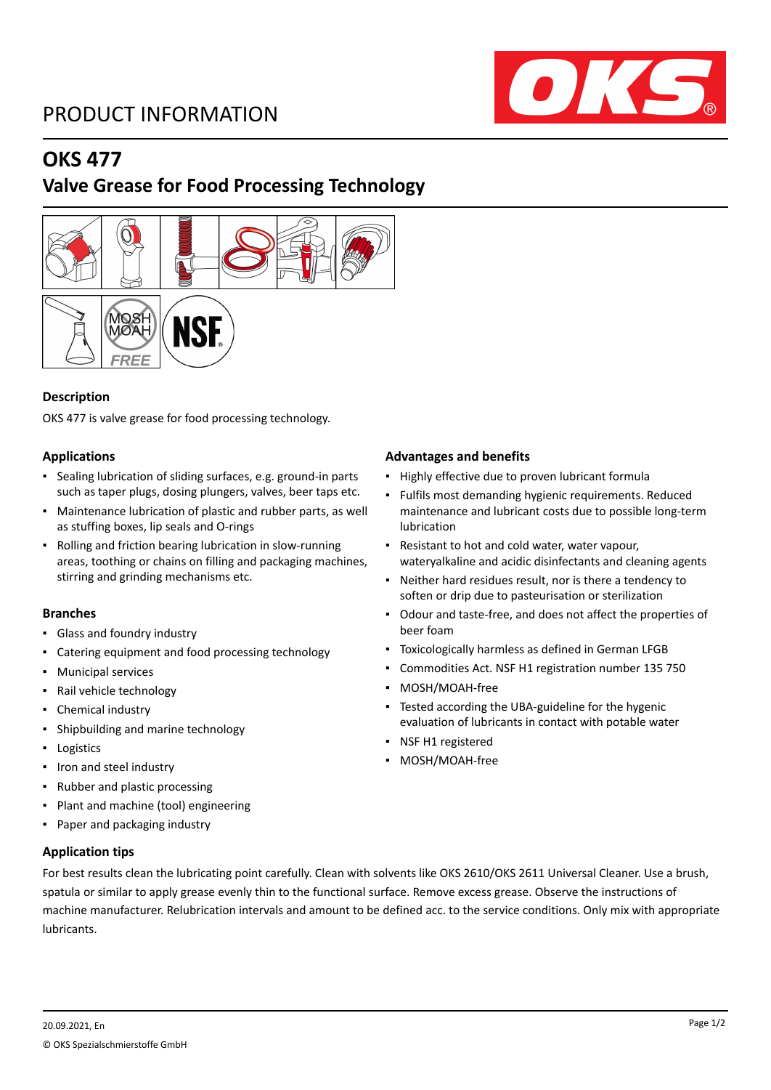# PRODUCT INFORMATION



# **OKS 477**

## **Valve Grease for Food Processing Technology**



## **Description**

OKS 477 is valve grease for food processing technology.

## **Applications**

- Sealing lubrication of sliding surfaces, e.g. ground-in parts such as taper plugs, dosing plungers, valves, beer taps etc.
- Maintenance lubrication of plastic and rubber parts, as well as stuffing boxes, lip seals and O-rings
- Rolling and friction bearing lubrication in slow-running areas, toothing or chains on filling and packaging machines, stirring and grinding mechanisms etc.

## **Branches**

- Glass and foundry industry
- Catering equipment and food processing technology
- Municipal services
- Rail vehicle technology
- Chemical industry
- Shipbuilding and marine technology
- Logistics
- Iron and steel industry
- Rubber and plastic processing
- Plant and machine (tool) engineering
- Paper and packaging industry

## **Application tips**

## **Advantages and benefits**

- Highly effective due to proven lubricant formula
- Fulfils most demanding hygienic requirements. Reduced maintenance and lubricant costs due to possible long-term lubrication
- Resistant to hot and cold water, water vapour, wateryalkaline and acidic disinfectants and cleaning agents
- Neither hard residues result, nor is there a tendency to soften or drip due to pasteurisation or sterilization
- Odour and taste-free, and does not affect the properties of beer foam
- Toxicologically harmless as defined in German LFGB
- Commodities Act. NSF H1 registration number 135 750
- MOSH/MOAH-free
- **Tested according the UBA-guideline for the hygenic** evaluation of lubricants in contact with potable water
- NSF H1 registered
- MOSH/MOAH-free

For best results clean the lubricating point carefully. Clean with solvents like OKS 2610/OKS 2611 Universal Cleaner. Use a brush, spatula or similar to apply grease evenly thin to the functional surface. Remove excess grease. Observe the instructions of machine manufacturer. Relubrication intervals and amount to be defined acc. to the service conditions. Only mix with appropriate lubricants.